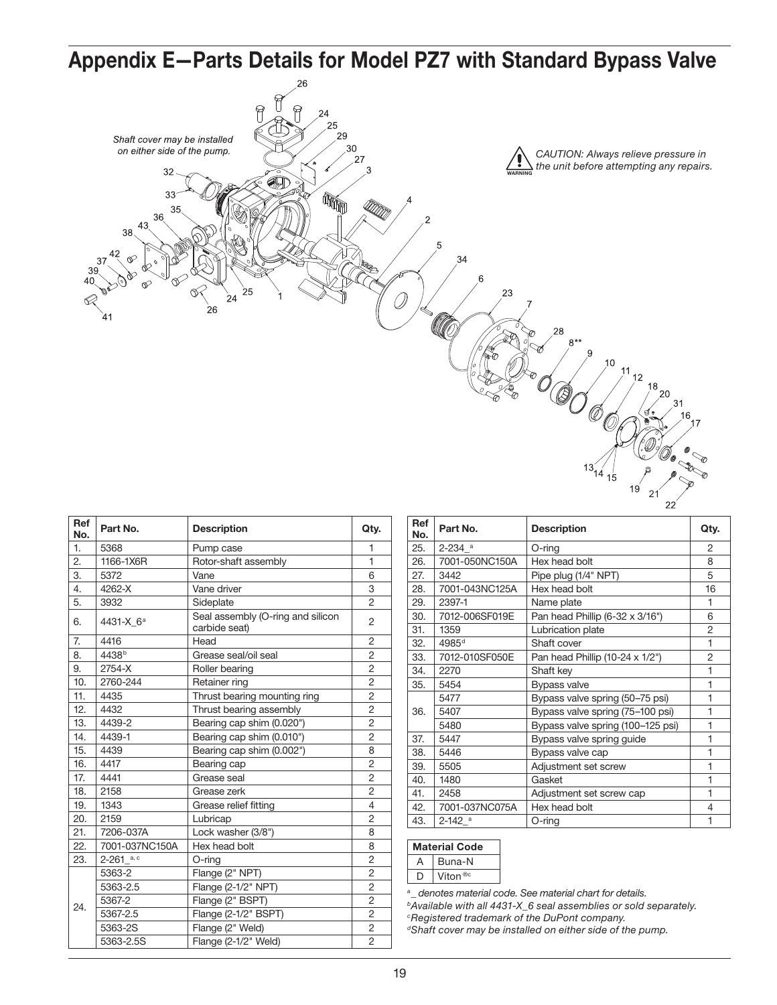Appendix E—Parts Details for Model PZ7 with Standard Bypass Valve Shaft cover may be installed on either side of the pump. *CAUTION: Always relieve pressure in*   $27$ *the unit before attempting any repairs.* 32 WARNING  $3<sup>2</sup>$ the contract of the contract of the contract of the contract of the contract of the contract of the contract o<br>The contract of the contract of the contract of the contract of the contract of the contract of the contract o<br>  $35$ 36 43 38 24 26 28 21

| Ref<br>No. | Part No.              | <b>Description</b>                                 | Qty.           |
|------------|-----------------------|----------------------------------------------------|----------------|
| 1.         | 5368                  | Pump case                                          | 1              |
| 2.         | 1166-1X6R             | Rotor-shaft assembly                               | 1              |
| 3.         | 5372                  | Vane                                               | 6              |
| 4.         | 4262-X                | Vane driver                                        | 3              |
| 5.         | 3932                  | Sideplate                                          | $\overline{2}$ |
| 6.         | 4431-X 6 <sup>a</sup> | Seal assembly (O-ring and silicon<br>carbide seat) | 2              |
| 7.         | 4416                  | Head                                               | 2              |
| 8.         | 4438 <sup>b</sup>     | Grease seal/oil seal                               | 2              |
| 9.         | 2754-X                | Roller bearing                                     | $\overline{c}$ |
| 10.        | 2760-244              | Retainer ring                                      | $\overline{c}$ |
| 11.        | 4435                  | Thrust bearing mounting ring                       | $\overline{2}$ |
| 12.        | 4432                  | Thrust bearing assembly                            | $\overline{2}$ |
| 13.        | 4439-2                | Bearing cap shim (0.020")                          | $\overline{2}$ |
| 14.        | 4439-1                | Bearing cap shim (0.010")                          | $\overline{2}$ |
| 15.        | 4439                  | Bearing cap shim (0.002")                          | 8              |
| 16.        | 4417                  | Bearing cap                                        | $\overline{c}$ |
| 17.        | 4441                  | Grease seal                                        | $\overline{c}$ |
| 18.        | 2158                  | Grease zerk                                        | $\overline{2}$ |
| 19.        | 1343                  | Grease relief fitting                              | $\overline{4}$ |
| 20.        | 2159                  | Lubricap                                           | $\overline{2}$ |
| 21.        | 7206-037A             | Lock washer (3/8")                                 | 8              |
| 22.        | 7001-037NC150A        | Hex head bolt                                      | 8              |
| 23.        | $2-261$ a, c          | O-ring                                             | $\overline{2}$ |
|            | 5363-2                | Flange (2" NPT)                                    | 2              |
|            | 5363-2.5              | Flange (2-1/2" NPT)                                | $\overline{2}$ |
| 24.        | 5367-2                | Flange (2" BSPT)                                   | $\overline{2}$ |
|            | 5367-2.5              | Flange (2-1/2" BSPT)                               | $\overline{c}$ |
|            | 5363-2S               | Flange (2" Weld)                                   | $\overline{2}$ |
|            | 5363-2.5S             | Flange (2-1/2" Weld)                               | $\overline{2}$ |

| <b>Ref</b><br>No. | Part No.             | <b>Description</b>                | Qty.           |
|-------------------|----------------------|-----------------------------------|----------------|
| 25.               | $2-234$ <sup>a</sup> | O-ring                            | 2              |
| 26.               | 7001-050NC150A       | Hex head bolt                     | 8              |
| 27.               | 3442                 | Pipe plug (1/4" NPT)              | 5              |
| 28.               | 7001-043NC125A       | Hex head bolt                     | 16             |
| 29.               | 2397-1               | Name plate                        | 1              |
| 30.               | 7012-006SF019E       | Pan head Phillip (6-32 x 3/16")   | 6              |
| 31.               | 1359                 | Lubrication plate                 | 2              |
| 32.               | 4985 <sup>d</sup>    | Shaft cover                       | 1              |
| 33.               | 7012-010SF050E       | Pan head Phillip (10-24 x 1/2")   | $\overline{2}$ |
| 34.               | 2270                 | Shaft key                         | 1              |
| 35.               | 5454                 | <b>Bypass valve</b>               | 1              |
|                   | 5477                 | Bypass valve spring (50-75 psi)   | 1              |
| 36.               | 5407                 | Bypass valve spring (75-100 psi)  | 1              |
|                   | 5480                 | Bypass valve spring (100-125 psi) | 1              |
| 37.               | 5447                 | Bypass valve spring guide         | 1              |
| 38.               | 5446                 | Bypass valve cap                  | 1              |
| 39.               | 5505                 | Adjustment set screw              | 1              |
| 40.               | 1480                 | Gasket                            | 1              |
| 41.               | 2458                 | Adjustment set screw cap          | 1              |
| 42.               | 7001-037NC075A       | Hex head bolt                     | 4              |
| 43.               | $2-142$ <sup>a</sup> | O-ring                            | 1              |

| <b>Material Code</b> |                     |  |
|----------------------|---------------------|--|
| Δ                    | Buna-N              |  |
|                      | Viton <sup>®c</sup> |  |

*a\_ denotes material code. See material chart for details.*

*bAvailable with all 4431-X\_6 seal assemblies or sold separately. cRegistered trademark of the DuPont company.*

*dShaft cover may be installed on either side of the pump.*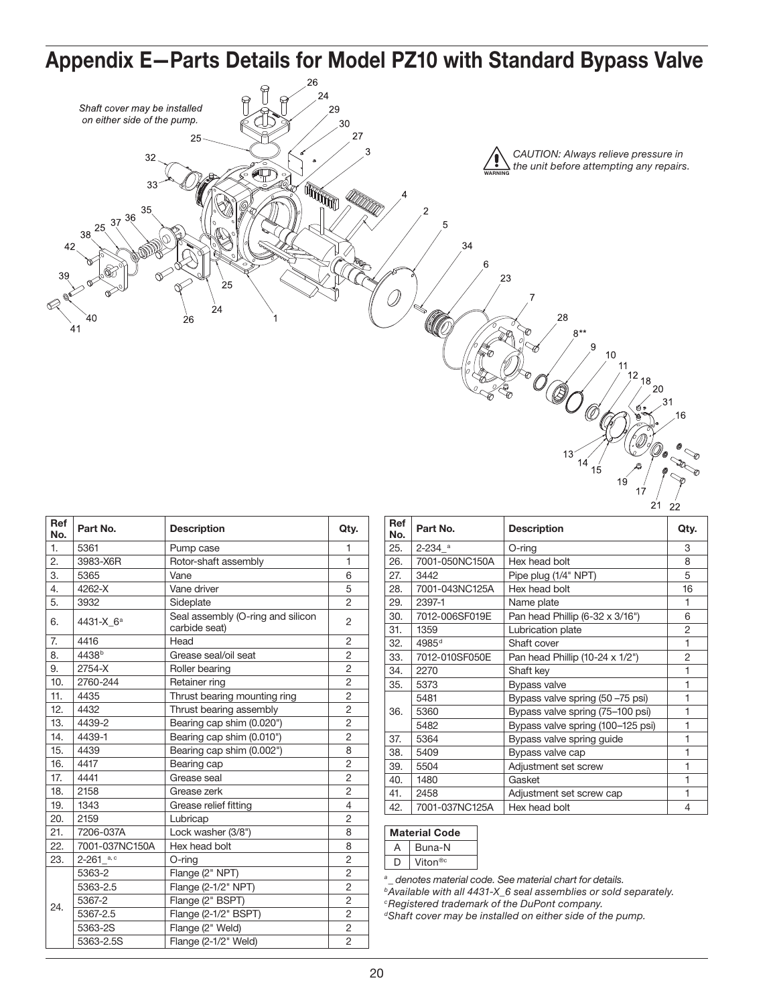

| Ref<br>No. | Part No.              | <b>Description</b>                                 | Qty.           |
|------------|-----------------------|----------------------------------------------------|----------------|
| 1.         | 5361                  | Pump case                                          | 1              |
| 2.         | 3983-X6R              | Rotor-shaft assembly                               | $\mathbf{1}$   |
| 3.         | 5365                  | Vane                                               | 6              |
| 4.         | 4262-X                | Vane driver                                        | 5              |
| 5.         | 3932                  | Sideplate                                          | 2              |
| 6.         | 4431-X 6 <sup>a</sup> | Seal assembly (O-ring and silicon<br>carbide seat) | $\overline{2}$ |
| 7.         | 4416                  | Head                                               | $\overline{2}$ |
| 8.         | 4438 <sup>b</sup>     | Grease seal/oil seat                               | $\overline{2}$ |
| 9.         | 2754-X                | Roller bearing                                     | $\overline{2}$ |
| 10.        | 2760-244              | Retainer ring                                      | $\overline{2}$ |
| 11.        | 4435                  | Thrust bearing mounting ring                       | $\overline{2}$ |
| 12.        | 4432                  | Thrust bearing assembly                            | $\overline{2}$ |
| 13.        | 4439-2                | Bearing cap shim (0.020")                          | $\overline{2}$ |
| 14.        | 4439-1                | Bearing cap shim (0.010")                          | $\overline{2}$ |
| 15.        | 4439                  | Bearing cap shim (0.002")                          | 8              |
| 16.        | 4417                  | Bearing cap                                        | $\overline{2}$ |
| 17.        | 4441                  | Grease seal                                        | $\overline{2}$ |
| 18.        | 2158                  | Grease zerk                                        | $\overline{2}$ |
| 19.        | 1343                  | Grease relief fitting                              | 4              |
| 20.        | 2159                  | Lubricap                                           | 2              |
| 21.        | 7206-037A             | Lock washer (3/8")                                 | 8              |
| 22.        | 7001-037NC150A        | Hex head bolt                                      | 8              |
| 23.        | $2-261$ a, c          | $O$ -ring                                          | $\overline{c}$ |
|            | 5363-2                | Flange (2" NPT)                                    | $\overline{2}$ |
|            | 5363-2.5              | Flange (2-1/2" NPT)                                | $\overline{2}$ |
| 24.        | 5367-2                | Flange (2" BSPT)                                   | $\overline{2}$ |
|            | 5367-2.5              | Flange (2-1/2" BSPT)                               | $\overline{2}$ |
|            | 5363-2S               | Flange (2" Weld)                                   | 2              |
|            | 5363-2.5S             | Flange (2-1/2" Weld)                               | $\overline{2}$ |

| нег<br>No. | Part No.               | <b>Description</b>                | Qty. |
|------------|------------------------|-----------------------------------|------|
| 25.        | $2 - 234$ <sup>a</sup> | O-ring                            | 3    |
| 26.        | 7001-050NC150A         | Hex head bolt                     | 8    |
| 27.        | 3442                   | Pipe plug (1/4" NPT)              | 5    |
| 28.        | 7001-043NC125A         | Hex head bolt                     | 16   |
| 29.        | 2397-1                 | Name plate                        | 1    |
| 30.        | 7012-006SF019E         | Pan head Phillip (6-32 x 3/16")   | 6    |
| 31.        | 1359                   | Lubrication plate                 | 2    |
| 32.        | 4985 <sup>d</sup>      | Shaft cover                       | 1    |
| 33.        | 7012-010SF050E         | Pan head Phillip (10-24 x 1/2")   | 2    |
| 34.        | 2270                   | Shaft key                         | 1    |
| 35.        | 5373                   | <b>Bypass valve</b>               | 1    |
|            | 5481                   | Bypass valve spring (50 -75 psi)  | 1    |
| 36.        | 5360                   | Bypass valve spring (75–100 psi)  | 1    |
|            | 5482                   | Bypass valve spring (100-125 psi) | 1    |
| 37.        | 5364                   | Bypass valve spring guide         | 1    |
| 38.        | 5409                   | Bypass valve cap                  | 1    |
| 39.        | 5504                   | Adjustment set screw              | 1    |
| 40.        | 1480                   | Gasket                            | 1    |
| 41.        | 2458                   | Adjustment set screw cap          | 1    |
| 42.        | 7001-037NC125A         | Hex head bolt                     | 4    |

| <b>Material Code</b> |                     |  |
|----------------------|---------------------|--|
|                      | Buna-N              |  |
|                      | Viton <sup>®c</sup> |  |

*a\_ denotes material code. See material chart for details.*

*bAvailable with all 4431-X\_6 seal assemblies or sold separately. cRegistered trademark of the DuPont company.*

*dShaft cover may be installed on either side of the pump.*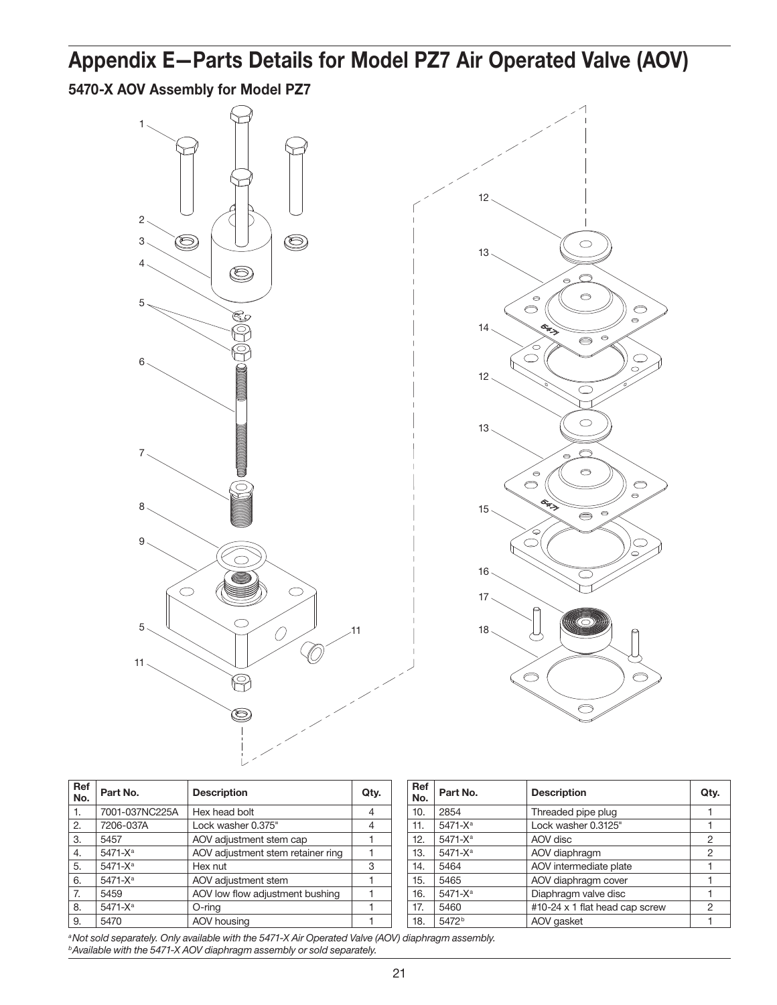## Appendix E—Parts Details for Model PZ7 Air Operated Valve (AOV)

5470-X AOV Assembly for Model PZ7





| Ref<br>No. | Part No.            | <b>Description</b>                | Qty. |
|------------|---------------------|-----------------------------------|------|
| 1.         | 7001-037NC225A      | Hex head bolt                     |      |
| 2.         | 7206-037A           | Lock washer 0.375"                |      |
| 3.         | 5457                | AOV adjustment stem cap           |      |
| 4.         | 5471-X <sup>a</sup> | AOV adjustment stem retainer ring |      |
| 5.         | 5471-X <sup>a</sup> | Hex nut                           | 3    |
| 6.         | 5471-X <sup>a</sup> | AOV adjustment stem               |      |
| 7.         | 5459                | AOV low flow adjustment bushing   |      |
| 8.         | 5471-X <sup>a</sup> | O-ring                            |      |
| 9.         | 5470                | AOV housing                       |      |

| Ref<br>No. | Part No.            | <b>Description</b>             | Qty.           |
|------------|---------------------|--------------------------------|----------------|
| 10.        | 2854                | Threaded pipe plug             |                |
| 11.        | $5471 - X^a$        | Lock washer 0.3125"            |                |
| 12.        | 5471-X <sup>a</sup> | AOV disc                       | $\overline{2}$ |
| 13.        | 5471-X <sup>a</sup> | AOV diaphragm                  | 2              |
| 14.        | 5464                | AOV intermediate plate         |                |
| 15.        | 5465                | AOV diaphragm cover            |                |
| 16.        | 5471-X <sup>a</sup> | Diaphragm valve disc           |                |
| 17.        | 5460                | #10-24 x 1 flat head cap screw | 2              |
| 18.        | 5472 <sup>b</sup>   | AOV gasket                     |                |

*aNot sold separately. Only available with the 5471-X Air Operated Valve (AOV) diaphragm assembly. bAvailable with the 5471-X AOV diaphragm assembly or sold separately.*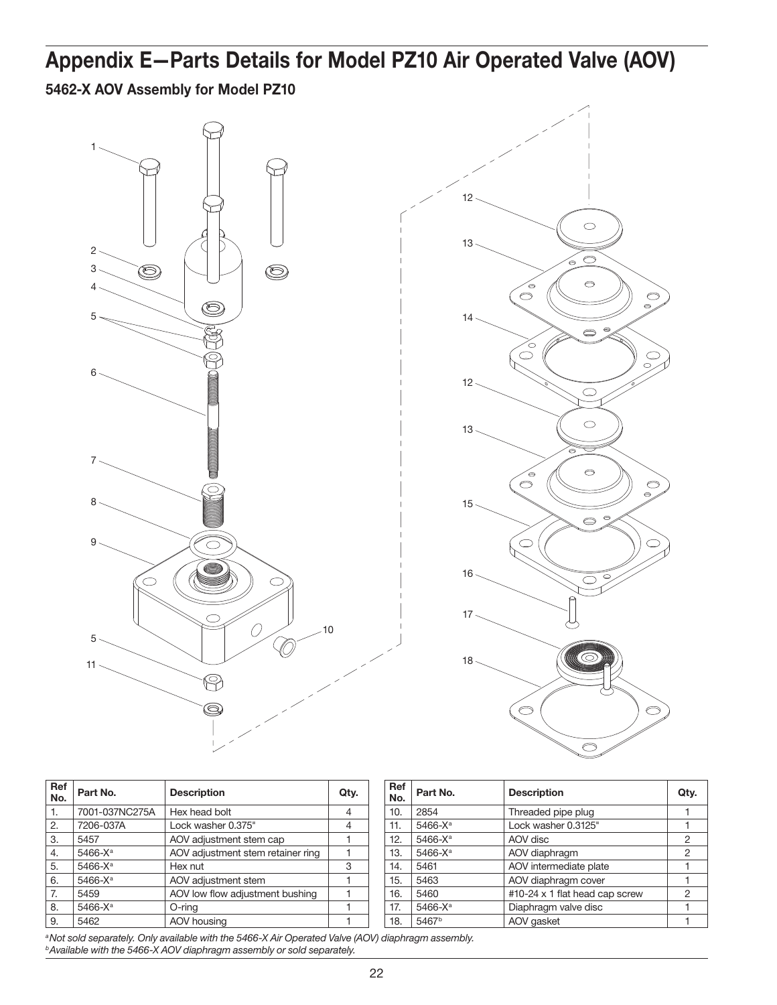## Appendix E—Parts Details for Model PZ10 Air Operated Valve (AOV)

5462-X AOV Assembly for Model PZ10





| Ref<br>No. | Part No.            | <b>Description</b>                | Qty. |
|------------|---------------------|-----------------------------------|------|
| 1.         | 7001-037NC275A      | Hex head bolt                     | 4    |
| 2.         | 7206-037A           | Lock washer 0.375"                | 4    |
| 3.         | 5457                | AOV adjustment stem cap           |      |
| 4.         | 5466-X <sup>a</sup> | AOV adjustment stem retainer ring |      |
| 5.         | $5466 - X^a$        | Hex nut                           | 3    |
| 6.         | 5466-X <sup>a</sup> | AOV adjustment stem               |      |
| 7.         | 5459                | AOV low flow adjustment bushing   |      |
| 8.         | 5466-X <sup>a</sup> | O-ring                            |      |
| 9.         | 5462                | AOV housing                       |      |

| <b>Ref</b><br>No. | Part No.            | <b>Description</b>             | Qty. |
|-------------------|---------------------|--------------------------------|------|
| 10.               | 2854                | Threaded pipe plug             |      |
| 11.               | 5466-X <sup>a</sup> | Lock washer 0.3125"            |      |
| 12.               | 5466-X <sup>a</sup> | AOV disc                       | 2    |
| 13.               | 5466-X <sup>a</sup> | AOV diaphragm                  | 2    |
| 14.               | 5461                | AOV intermediate plate         |      |
| 15.               | 5463                | AOV diaphragm cover            |      |
| 16.               | 5460                | #10-24 x 1 flat head cap screw | 2    |
| 17.               | 5466-X <sup>a</sup> | Diaphragm valve disc           |      |
| 18.               | 5467 <sup>b</sup>   | AOV gasket                     |      |

*aNot sold separately. Only available with the 5466-X Air Operated Valve (AOV) diaphragm assembly. bAvailable with the 5466-X AOV diaphragm assembly or sold separately.*